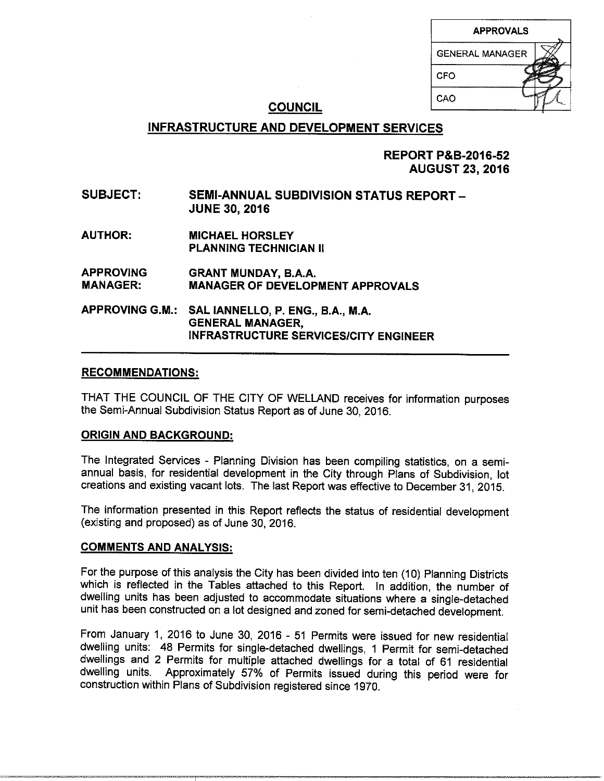| <b>APPROVALS</b>       |  |
|------------------------|--|
| <b>GENERAL MANAGER</b> |  |
| CFO                    |  |
| CAO                    |  |

# **COUNCIL**

# **INFRASTRUCTURE AND DEVELOPMENT SERVICES**

**REPORT P&B-2016-52 AUGUST 23, 2016** 

# **SUBJECT: SEMI-ANNUAL SUBDIVISION STATUS REPORT-JUNE 30, 2016**

**AUTHOR: MICHAEL HORSLEY PLANNING TECHNICIAN II** 

**APPROVING GRANT MUNDAY, B.A.A. MANAGER: MANAGER OF DEVELOPMENT APPROVALS** 

**APPROVING G.M.: SAL IANNELLO, P. ENG., B.A., M.A. GENERAL MANAGER, INFRASTRUCTURE SERVICES/CITY ENGINEER** 

### **RECOMMENDATIONS:**

THAT THE COUNCIL OF THE CITY OF WELLAND receives for information purposes the Semi-Annual Subdivision Status Report as of June 30, 2016.

### **ORIGIN AND BACKGROUND:**

The Integrated Services - Planning Division has been compiling statistics, on a semiannual basis, for residential development in the City through Plans of Subdivision, lot creations and existing vacant lots. The last Report was effective to December 31, 2015.

The information presented in this Report reflects the status of residential development (existing and proposed) as of June 30, 2016.

### **COMMENTS AND ANALYSIS:**

For the purpose of this analysis the City has been divided into ten (10) Planning Districts which is reflected in the Tables attached to this Report. In addition, the number of dwelling units has been adjusted to accommodate situations where a single-detached unit has been constructed on a lot designed and zoned for semi-detached development.

From January 1, 2016 to June 30, 2016 - 51 Permits were issued for new residential dwelling units: 48 Permits for single-detached dwellings, 1 Permit for semi-detached dwellings and 2 Permits for multiple attached dwellings for a total of 61 residential dwelling units. Approximately 57% of Permits issued during this period were for construction within Plans of Subdivision registered since 1970.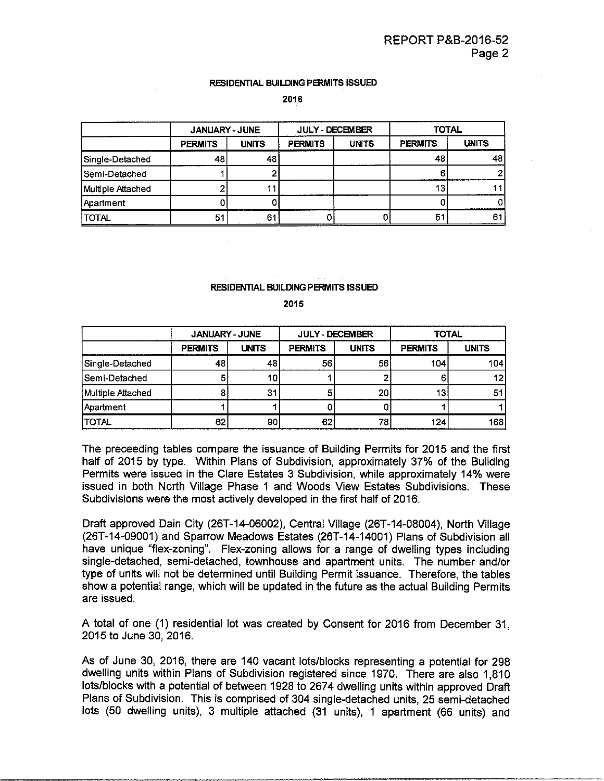#### RESIDENTIAL BUILDING PERMITS ISSUED

2016

|                   | <b>JANUARY - JUNE</b> |              |                | <b>JULY - DECEMBER</b> | <b>TOTAL</b>   |              |  |
|-------------------|-----------------------|--------------|----------------|------------------------|----------------|--------------|--|
|                   | <b>PERMITS</b>        | <b>UNITS</b> | <b>PERMITS</b> | <b>UNITS</b>           | <b>PERMITS</b> | <b>UNITS</b> |  |
| Single-Detached   | 48                    | 48           |                |                        | 48             | 48           |  |
| Semi-Detached     |                       |              |                |                        |                |              |  |
| Multiple Attached |                       |              |                |                        | 13             |              |  |
| <b>Apartment</b>  |                       |              |                |                        |                |              |  |
| <b>TOTAL</b>      | 51                    | 6.           |                |                        | 5.             | 6            |  |

#### **RESIDENTIAL BUILDING PERMITS ISSUED**

**2015** 

|                   | <b>JANUARY - JUNE</b> |              |                | <b>JULY - DECEMBER</b> | <b>TOTAL</b>   |              |  |
|-------------------|-----------------------|--------------|----------------|------------------------|----------------|--------------|--|
|                   | <b>PERMITS</b>        | <b>UNITS</b> | <b>PERMITS</b> | <b>UNITS</b>           | <b>PERMITS</b> | <b>UNITS</b> |  |
| Single-Detached   | 48                    | 48           | 56             | 56                     | 104            | 104          |  |
| Semi-Detached     | 5                     | 10           |                |                        |                |              |  |
| Multiple Attached |                       | 31           |                | 20                     | 13.            | 51           |  |
| Apartment         |                       |              |                |                        |                |              |  |
| <b>ITOTAL</b>     | 62                    | 90           | 62             | 78                     | 124            | 168          |  |

The preceeding tables compare the issuance of Building Permits for 2015 and the first half of 2015 by type. Within Plans of Subdivision, approximately 37% of the Building Permits were issued in the Clare Estates 3 Subdivision, while approximately 14% were issued in both North Village Phase 1 and Woods View Estates Subdivisions. These Subdivisions were the most actively developed in the first half of 2016.

Draft approved Dain City (26T-14-06002), Central Village (26T-14-08004), North Village (26T-14-09001) and Sparrow Meadows Estates (26T-14-14001) Plans of Subdivision all have unique "flex-zoning". Flex-zoning allows for a range of dwelling types including single-detached, semi-detached, townhouse and apartment units. The number and/or type of units will not be determined until Building Permit issuance. Therefore, the tables show a potential range, which will be updated in the future as the actual Building Permits are issued.

A total of one (1) residential lot was created by Consent for 2016 from December 31, 2015 to June 30, 2016.

As of June 30, 2016, there are 140 vacant lots/blocks representing a potential for 298 dwelling units within Plans of Subdivision registered since 1970. There are also 1,810 lots/blocks with a potential of between 1928 to 2674 dwelling units within approved Draft Plans of Subdivision. This is comprised of 304 single-detached units, 25 semi-detached lots (50 dwelling units), 3 multiple attached (31 units), 1 apartment (66 units) and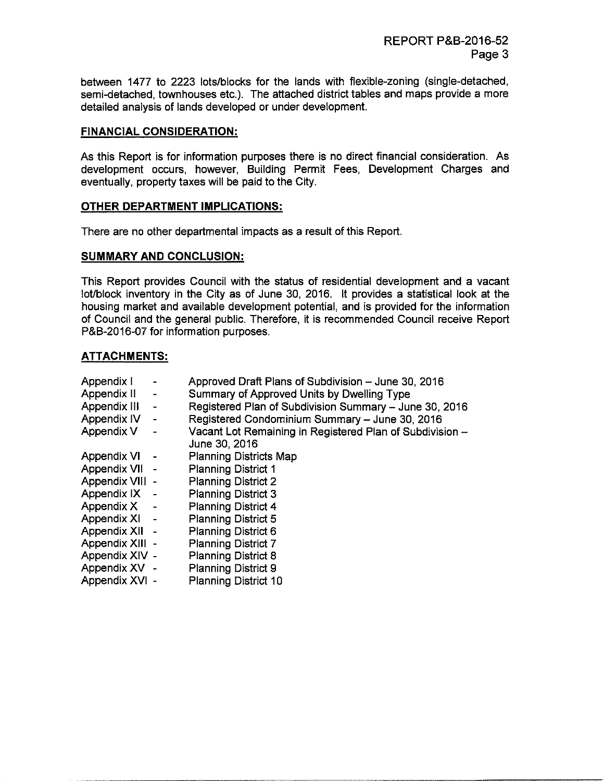between 1477 to 2223 lots/blocks for the lands with flexible-zoning (single-detached, semi-detached, townhouses etc.). The attached district tables and maps provide a more detailed analysis of lands developed or under development.

### **FINANCIAL CONSIDERATION:**

As this Report is for information purposes there is no direct financial consideration. As development occurs, however, Building Permit Fees, Development Charges and eventually, property taxes will be paid to the City.

### **OTHER DEPARTMENT IMPLICATIONS:**

There are no other departmental impacts as a result of this Report.

### **SUMMARY AND CONCLUSION:**

This Report provides Council with the status of residential development and a vacant lot/block inventory in the City as of June 30, 2016. It provides a statistical look at the housing market and available development potential, and is provided for the information of Council and the general public. Therefore, it is recommended Council receive Report P&B-2016-07 for information purposes.

### **ATTACHMENTS:**

| Appendix I      |                          | Approved Draft Plans of Subdivision - June 30, 2016      |
|-----------------|--------------------------|----------------------------------------------------------|
| Appendix II     | $\blacksquare$           | Summary of Approved Units by Dwelling Type               |
| Appendix III    | $\overline{\phantom{0}}$ | Registered Plan of Subdivision Summary - June 30, 2016   |
| Appendix IV     | -                        | Registered Condominium Summary - June 30, 2016           |
| Appendix V      |                          | Vacant Lot Remaining in Registered Plan of Subdivision - |
|                 |                          | June 30, 2016                                            |
| Appendix VI     |                          | <b>Planning Districts Map</b>                            |
| Appendix VII -  |                          | <b>Planning District 1</b>                               |
| Appendix VIII - |                          | <b>Planning District 2</b>                               |
| Appendix IX -   |                          | <b>Planning District 3</b>                               |
| Appendix X -    |                          | <b>Planning District 4</b>                               |
| Appendix XI -   |                          | <b>Planning District 5</b>                               |
| Appendix XII -  |                          | <b>Planning District 6</b>                               |
| Appendix XIII - |                          | <b>Planning District 7</b>                               |
| Appendix XIV -  |                          | <b>Planning District 8</b>                               |
| Appendix XV -   |                          | <b>Planning District 9</b>                               |
| Appendix XVI -  |                          | <b>Planning District 10</b>                              |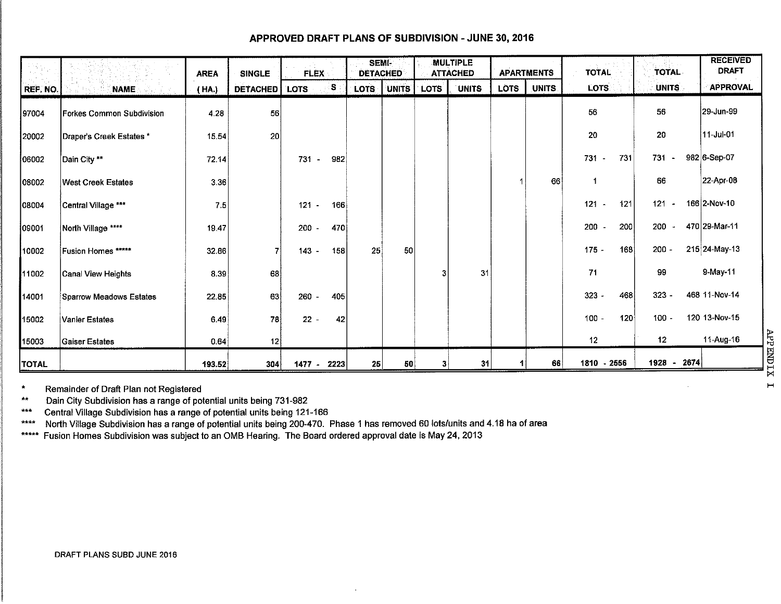### APPROVED DRAFT PLANS OF SUBDIVISION -JUNE 30, 2016

|              |                           | <b>AREA</b> | <b>SINGLE</b>   | <b>FLEX</b>   |     | <b>SEMI-</b><br><b>DETACHED</b> |       |             | <b>MULTIPLE</b><br><b>ATTACHED</b> |      | <b>APARTMENTS</b> | <b>TOTAL</b>                    |     | <b>TOTAL</b>    | <b>RECEIVED</b><br><b>DRAFT</b> |
|--------------|---------------------------|-------------|-----------------|---------------|-----|---------------------------------|-------|-------------|------------------------------------|------|-------------------|---------------------------------|-----|-----------------|---------------------------------|
| REF. NO.     | <b>NAME</b>               | (HA.)       | <b>DETACHED</b> | <b>LOTS</b>   | S,  | <b>LOTS</b>                     | UNITS | <b>LOTS</b> | <b>UNITS</b>                       | LOTS | <b>UNITS</b>      | LOTS.                           |     | UNITS.          | <b>APPROVAL</b>                 |
| 97004        | Forkes Common Subdivision | 4.28        | 56              |               |     |                                 |       |             |                                    |      |                   | 56                              |     | 56              | 29-Jun-99                       |
| 20002        | Draper's Creek Estates *  | 15.54       | 20              |               |     |                                 |       |             |                                    |      |                   | 20                              |     | 20              | 11-Jul-01                       |
| 06002        | Dain City **              | 72.14       |                 | 731<br>$\sim$ | 982 |                                 |       |             |                                    |      |                   | 731 -                           | 731 | 731<br>$\sim$   | 982 6-Sep-07                    |
| 108002       | <b>West Creek Estates</b> | 3.36        |                 |               |     |                                 |       |             |                                    |      | 66                | $\overline{1}$                  |     | 66              | 22-Apr-08                       |
| 08004        | Central Village ***       | 7.5         |                 | $121 -$       | 166 |                                 |       |             |                                    |      |                   | 121<br>$\sim$                   | 121 | 121<br>$\sim$   | 166 2-Nov-10                    |
| 09001        | North Village ****        | 19.47       |                 | 200           | 470 |                                 |       |             |                                    |      |                   | 200<br>$\overline{\phantom{a}}$ | 200 | 200<br>$\sim$   | 470 29-Mar-11                   |
| 10002        | Fusion Homes *****        | 32.86       |                 | $143 -$       | 158 | 25                              | 50    |             |                                    |      |                   | $175 -$                         | 168 | $200 -$         | 215 24-May-13                   |
| 11002        | Canal View Heights        | 8.39        | 68              |               |     |                                 |       | 3           | 31                                 |      |                   | 71                              |     | 99              | 9-May-11                        |
| 14001        | Sparrow Meadows Estates   | 22.85       | 63              | $260 -$       | 405 |                                 |       |             |                                    |      |                   | $323 -$                         | 468 | $323 -$         | 468 11-Nov-14                   |
| 15002        | Vanier Estates            | 6.49        | 78              | $22 -$        | 42  |                                 |       |             |                                    |      |                   | $100 -$                         | 120 | $100 -$         | 120 13-Nov-15                   |
| 15003        | <b>Gaiser Estates</b>     | 0.64        | 12              |               |     |                                 |       |             |                                    |      |                   | 12                              |     | 12 <sub>2</sub> | 11-Aug-16                       |
| <b>TOTAL</b> |                           | 193.52      | 304             | 1477 - 2223   |     | 25                              | 50    |             | 31                                 |      | 66                | 1810 - 2556                     |     | 1928 - 2674     |                                 |

• Remainder of Draft Plan not Registered

•• Dain City Subdivision has a range of potential units being 731-982

\*\*\* Central Village Subdivision has a range of potential units being 121-166

\*\*\*\* North Village Subdivision has a range of potential units being 200-470. Phase 1 has removed 60 lots/units and 4.18 ha of area

\*\*\*\*\* Fusion Homes Subdivision was subject to an OMB Hearing. The Board ordered approval date is May 24, 2013

~  $\overline{\mathsf{h}}$ M H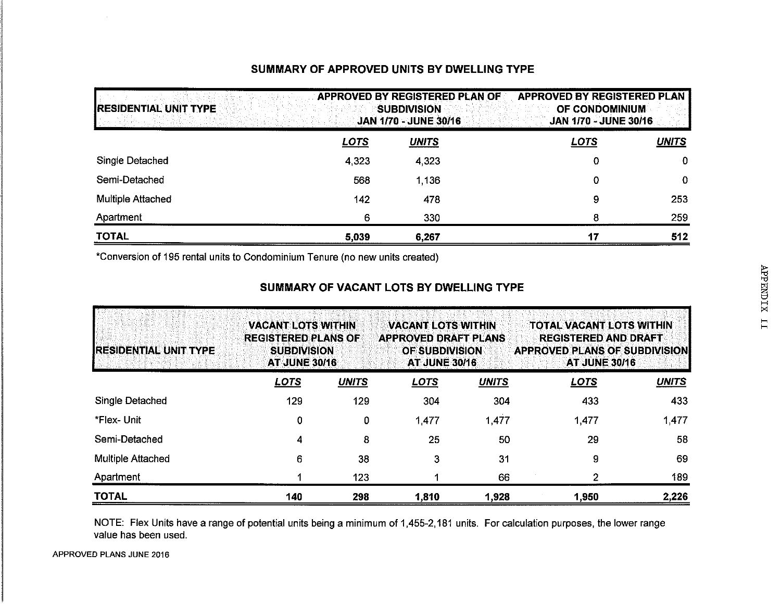# **SUMMARY OF APPROVED UNITS BY DWELLING TYPE**

| <b>RESIDENTIAL UNIT TYPE</b> |             | APPROVED BY REGISTERED PLAN OF<br><b>SUBDIVISION</b><br><b>JAN 1/70 - JUNE 30/16</b> | APPROVED BY REGISTERED PLAN<br>OF CONDOMINIUM<br><b>JAN 1/70 - JUNE 30/16</b> |              |
|------------------------------|-------------|--------------------------------------------------------------------------------------|-------------------------------------------------------------------------------|--------------|
|                              | <b>LOTS</b> | <b>UNITS</b>                                                                         | <b>LOTS</b>                                                                   | <b>UNITS</b> |
| Single Detached              | 4,323       | 4.323                                                                                | 0                                                                             | $\mathbf 0$  |
| Semi-Detached                | 568         | 1.136                                                                                | 0                                                                             | $\mathbf 0$  |
| Multiple Attached            | 142         | 478                                                                                  | 9                                                                             | 253          |
| Apartment                    | 6           | 330                                                                                  | 8                                                                             | 259          |
| <b>TOTAL</b>                 | 5,039       | 6,267                                                                                | 17                                                                            | 512          |

\*Conversion of 195 rental units to Condominium Tenure (no new units created)

| IRESIDENTIAL UNIT TYPE   | <b>VACANT LOTS WITHIN</b><br><b>REGISTERED PLANS OF</b><br><b>SUBDIVISION</b><br><b>AT JUNE 30/16</b> |              | <b>VACANT LOTS WITHIN</b><br><b>APPROVED DRAFT PLANS</b><br><b>OF SUBDIVISION</b><br><b>AT JUNE 30/16</b> |              | <b>TOTAL VACANT LOTS WITHIN</b><br><b>REGISTERED AND DRAFT</b><br><b>APPROVED PLANS OF SUBDIVISION</b><br><b>AT JUNE 30/16</b> |              |  |  |
|--------------------------|-------------------------------------------------------------------------------------------------------|--------------|-----------------------------------------------------------------------------------------------------------|--------------|--------------------------------------------------------------------------------------------------------------------------------|--------------|--|--|
|                          | <u>LOTS</u>                                                                                           | <b>UNITS</b> | <b>LOTS</b>                                                                                               | <b>UNITS</b> | <b>LOTS</b>                                                                                                                    | <b>UNITS</b> |  |  |
| Single Detached          | 129                                                                                                   | 129          | 304                                                                                                       | 304          | 433                                                                                                                            | 433          |  |  |
| *Flex- Unit              | 0                                                                                                     | 0            | 1477                                                                                                      | 1,477        | 1,477                                                                                                                          | 1,477        |  |  |
| Semi-Detached            | 4                                                                                                     | 8            | 25                                                                                                        | 50           | 29                                                                                                                             | 58           |  |  |
| <b>Multiple Attached</b> | 6                                                                                                     | 38           | 3                                                                                                         | 31           | 9                                                                                                                              | 69           |  |  |
| Apartment                |                                                                                                       | 123          |                                                                                                           | 66           | 2                                                                                                                              | 189          |  |  |
| <b>TOTAL</b>             | 140                                                                                                   | 298          | 1.810                                                                                                     | 1,928        | 1,950                                                                                                                          | 2,226        |  |  |

# **SUMMARY OF VACANT LOTS BY DWELLING TYPE**

NOTE: Flex Units have a range of potential units being a minimum of 1,455-2, 181 units. For calculation purposes, the lower range value has been used.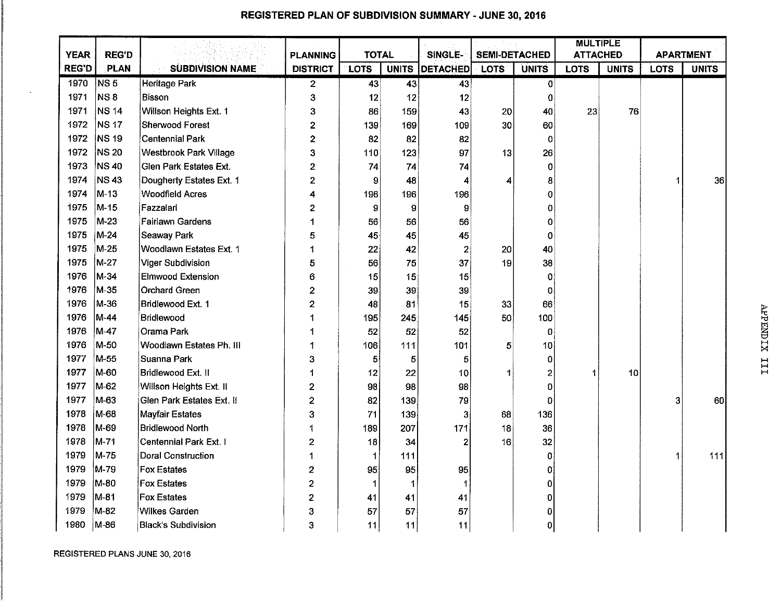|              |              |                               |                 | <b>TOTAL</b> |     |                | <b>SEMI-DETACHED</b> |              | <b>MULTIPLE</b><br><b>ATTACHED</b> |              |                  |              |
|--------------|--------------|-------------------------------|-----------------|--------------|-----|----------------|----------------------|--------------|------------------------------------|--------------|------------------|--------------|
| <b>YEAR</b>  | <b>REG'D</b> |                               | <b>PLANNING</b> |              |     | SINGLE-        |                      |              |                                    |              | <b>APARTMENT</b> |              |
| <b>REG'D</b> | PLAN         | <b>SUBDIVISION NAME</b>       | <b>DISTRICT</b> | <b>LOTS</b>  |     | UNITS DETACHED | <b>LOTS</b>          | <b>UNITS</b> | <b>LOTS</b>                        | <b>UNITS</b> | <b>LOTS</b>      | <b>UNITS</b> |
| 1970         | NS 5         | Heritage Park                 | $\mathbf{2}$    | 43           | 43  | 43             |                      | 0            |                                    |              |                  |              |
| 1971         | NS 8         | Bisson                        | 3               | 12           | 12  | 12             |                      | 0            |                                    |              |                  |              |
| 1971         | <b>NS 14</b> | Willson Heights Ext. 1        | 3               | 86           | 159 | 43             | 20                   | 40           | 23                                 | 76           |                  |              |
| 1972         | <b>NS 17</b> | <b>Sherwood Forest</b>        | $\overline{2}$  | 139          | 169 | 109            | 30                   | 60           |                                    |              |                  |              |
| 1972         | <b>NS 19</b> | <b>Centennial Park</b>        | $\overline{c}$  | 82           | 82  | 82             |                      | 0            |                                    |              |                  |              |
| 1972         | <b>NS 20</b> | <b>Westbrook Park Village</b> | 3               | 110          | 123 | 97             | 13                   | 26           |                                    |              |                  |              |
| 1973         | <b>NS 40</b> | Glen Park Estates Ext.        | $\overline{2}$  | 74           | 74  | 74             |                      | 0            |                                    |              |                  |              |
| 1974         | <b>NS43</b>  | Dougherty Estates Ext. 1      | $\overline{2}$  | Đ            | 48  | 4              | 4                    | 8            |                                    |              | 1                | 36           |
| 1974         | $M-13$       | <b>Woodfield Acres</b>        | 4               | 196          | 196 | 196            |                      | 0            |                                    |              |                  |              |
| 1975         | M-15         | Fazzalari                     | 2               | 9            | 9   | $\mathbf{9}$   |                      | 0            |                                    |              |                  |              |
| 1975         | M-23         | <b>Fairlawn Gardens</b>       | 1               | 56           | 56  | 56             |                      | 0            |                                    |              |                  |              |
| 1975         | M-24         | Seaway Park                   | 5               | 45           | 45  | 45             |                      | 0            |                                    |              |                  |              |
| 1975         | M-25         | Woodlawn Estates Ext. 1       | 1               | 22           | 42  | $\overline{c}$ | 20                   | 40           |                                    |              |                  |              |
| 1975         | M-27         | Viger Subdivision             | 5               | 56           | 75  | 37             | 19                   | 38           |                                    |              |                  |              |
| 1976         | M-34         | <b>Elmwood Extension</b>      | 6               | 15           | 15  | 15             |                      | 0            |                                    |              |                  |              |
| 1976         | M-35         | <b>Orchard Green</b>          | $\mathbf{2}$    | 39           | 39  | 39             |                      | 0            |                                    |              |                  |              |
| 1976         | M-36         | Bridlewood Ext. 1             | 2               | 48           | 81  | 15             | 33                   | 66           |                                    |              |                  |              |
| 1976         | M-44         | Bridlewood                    |                 | 195          | 245 | 145            | 50                   | 100          |                                    |              |                  |              |
| 1976         | M-47         | Orama Park                    | 1               | 52           | 52  | 52             |                      | $\Omega$     |                                    |              |                  |              |
| 1976         | M-50         | Woodlawn Estates Ph. III      | 1               | 106          | 111 | 101            | 5                    | 10           |                                    |              |                  |              |
| 1977         | M-55         | Suanna Park                   | 3               | 5            | 5   | 5              |                      | 0            |                                    |              |                  |              |
| 1977         | M-60         | Bridlewood Ext. II            | 1               | 12           | 22  | 10             | 1                    | 2            | 1                                  | 10           |                  |              |
| 1977         | M-62         | Willson Heights Ext. II       | $\mathbf 2$     | 98           | 98  | 98             |                      | 0            |                                    |              |                  |              |
| 1977         | M-63         | Glen Park Estates Ext. If     | $\overline{2}$  | 82           | 139 | 79             |                      | 0            |                                    |              | 3                | 60           |
| 1978         | M-68         | Mayfair Estates               | 3               | 71           | 139 | 3              | 68                   | 136          |                                    |              |                  |              |
| 1978         | M-69         | <b>Bridlewood North</b>       | 1               | 189          | 207 | 171            | 18                   | 36           |                                    |              |                  |              |
| 1978         | M-71         | Centennial Park Ext. I        | $\mathbf{2}$    | 18           | 34  | 2              | 16                   | 32           |                                    |              |                  |              |
| 1979         | M-75         | Doral Construction            | 1               | 1            | 111 |                |                      | 0            |                                    |              | 1                | 111          |
| 1979         | M-79         | <b>Fox Estates</b>            | 2               | 95           | 95  | 95             |                      | 0            |                                    |              |                  |              |
| 1979         | M-80         | <b>Fox Estates</b>            | 2               | 1            | -1  | 1              |                      | 0            |                                    |              |                  |              |
| 1979         | M-81         | <b>Fox Estates</b>            | 2               | 41           | 41  | 41             |                      | Ó            |                                    |              |                  |              |
| 1979         | M-82         | Wilkes Garden                 | 3               | 57           | 57  | 57             |                      | 0            |                                    |              |                  |              |
| 1980         | $ M-86 $     | <b>Black's Subdivision</b>    | 3               | 11           | 11  | 11             |                      | 0            |                                    |              |                  |              |

## **REGISTERED PLAN OF SUBDIVISION SUMMARY - JUNE 30, 2016**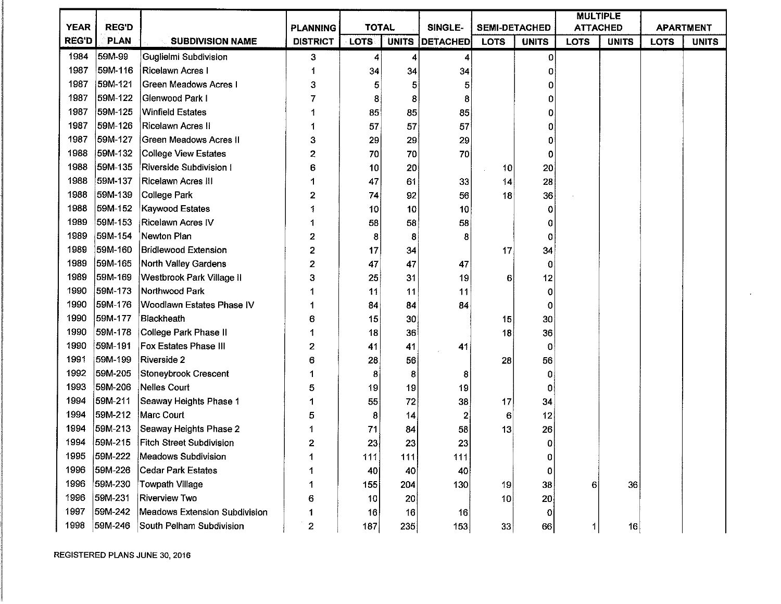|              |              |                                 |                  |              |     |                |                      |                | <b>MULTIPLE</b> |              |             |                  |
|--------------|--------------|---------------------------------|------------------|--------------|-----|----------------|----------------------|----------------|-----------------|--------------|-------------|------------------|
| <b>YEAR</b>  | <b>REG'D</b> |                                 | <b>PLANNING</b>  | <b>TOTAL</b> |     | SINGLE-        | <b>SEMI-DETACHED</b> |                | <b>ATTACHED</b> |              |             | <b>APARTMENT</b> |
| <b>REG'D</b> | <b>PLAN</b>  | <b>SUBDIVISION NAME</b>         | <b>DISTRICT</b>  | <b>LOTS</b>  |     | UNITS DETACHED | <b>LOTS</b>          | <b>UNITS</b>   | <b>LOTS</b>     | <b>UNITS</b> | <b>LOTS</b> | <b>UNITS</b>     |
| 1984         | 59M-99       | Guglielmi Subdivision           | з                | 4            | 4   | 41             |                      | $\Omega$       |                 |              |             |                  |
| 1987         | 59M-116      | Ricelawn Acres I                |                  | 34           | 34  | 34             |                      | 0              |                 |              |             |                  |
| 1987         | 59M-121      | Green Meadows Acres I           | 3                | 5            | 5   | 5              |                      | 0              |                 |              |             |                  |
| 1987         | 59M-122      | Glenwood Park I                 | 7                | 8            | 8   | 8              |                      | 0              |                 |              |             |                  |
| 1987         | 59M-125      | <b>Winfield Estates</b>         |                  | 85           | 85  | 85             |                      | 0              |                 |              |             |                  |
| 1987         | 59M-126      | Ricelawn Acres II               |                  | 57           | 57  | 57             |                      | 0              |                 |              |             |                  |
| 1987         | 59M-127      | Green Meadows Acres II          | 3                | 29           | 29  | 29             |                      | 0              |                 |              |             |                  |
| 1988         | 59M-132      | College View Estates            | $\overline{c}$   | 70           | 70  | 70             |                      | $\mathbf 0$    |                 |              |             |                  |
| 1988         | 59M-135      | Riverside Subdivision           | 6                | 10           | 20  |                | 10                   | 20             |                 |              |             |                  |
| 1988         | 59M-137      | <b>Ricelawn Acres III</b>       |                  | 47           | 61  | 33             | 14                   | 28             |                 |              |             |                  |
| 1988         | 59M-139      | College Park                    | 2                | 74           | 92  | 56             | 18                   | 36             |                 |              |             |                  |
| 1988         | 59M-152      | Kaywood Estates                 |                  | 10           | 10  | 10             |                      | $\mathbf 0$    |                 |              |             |                  |
| 1989         | 59M-153      | <b>Ricelawn Acres IV</b>        |                  | 58           | 58  | 58             |                      | 0              |                 |              |             |                  |
| 1989         | 59M-154      | Newton Plan                     | 2                | 8            | 8   |                |                      | 0              |                 |              |             |                  |
| 1989         | 59M-160      | <b>Bridlewood Extension</b>     | 2                | 17           | 34  |                | 17                   | 34             |                 |              |             |                  |
| 1989         | 59M-165      | North Valley Gardens            | 2                | 47           | 47  | 47             |                      | 0              |                 |              |             |                  |
| 1989         | 59M-169      | Westbrook Park Village II       | 3                | 25           | 31  | 19             | 6                    | 12             |                 |              |             |                  |
| 1990         | 59M-173      | Northwood Park                  |                  | 11           | 11  | 11             |                      | 0              |                 |              |             |                  |
| 1990         | 59M-176      | Woodlawn Estates Phase IV       |                  | 84           | 84  | 84             |                      | 0              |                 |              |             |                  |
| 1990         | 59M-177      | Blackheath                      | 6                | 15           | 30  |                | 15                   | 30             |                 |              |             |                  |
| 1990         | 59M-178      | College Park Phase II           |                  | 18           | 36  |                | 18                   | 36             |                 |              |             |                  |
| 1990         | 59M-191      | Fox Estates Phase III           | 2                | 41           | 41  | 41             |                      | 0              |                 |              |             |                  |
| 1991         | 59M-199      | Riverside 2                     | 6                | 28           | 56  |                | 28                   | 56             |                 |              |             |                  |
| 1992         | 59M-205      | Stoneybrook Crescent            |                  | 8            | 8   | 8              |                      | 0              |                 |              |             |                  |
| 1993         | 59M-206      | Nelles Court                    | 5                | 19           | 19  | 19             |                      | 0              |                 |              |             |                  |
| 1994         | 59M-211      | Seaway Heights Phase 1          |                  | 55           | 72  | 38             | 17                   | 34             |                 |              |             |                  |
| 1994         | 59M-212      | Marc Court                      | 5                | 8            | 14  | 2              | 6                    | 12             |                 |              |             |                  |
| 1994         | 59M-213      | Seaway Heights Phase 2          |                  | 71           | 84  | 58             | 13                   | 26             |                 |              |             |                  |
| 1994         | 59M-215      | <b>Fitch Street Subdivision</b> | 2                | 23           | 23  | 23             |                      | 0              |                 |              |             |                  |
| 1995         | 59M-222      | Meadows Subdivision             | 1                | 111          | 111 | 111            |                      | O              |                 |              |             |                  |
| 1996         | 59M-226      | Cedar Park Estates              |                  | 40           | 40  | 40             |                      | 0              |                 |              |             |                  |
| 1996         | 59M-230      | Towpath Village                 | 1                | 155          | 204 | 130            | 19                   | 38             | 6               | 36           |             |                  |
| 1996         | 59M-231      | <b>Riverview Two</b>            | 6                | 10           | 20  |                | 10 <sub>1</sub>      | 20             |                 |              |             |                  |
| 1997         | 59M-242      | Meadows Extension Subdivision   |                  | 16           | 16  | 16             |                      | $\overline{0}$ |                 |              |             |                  |
| 1998         | 59M-246      | South Pelham Subdivision        | $\boldsymbol{2}$ | 187          | 235 | 153            | 33                   | 66             | 1               | 16           |             |                  |

 $\star$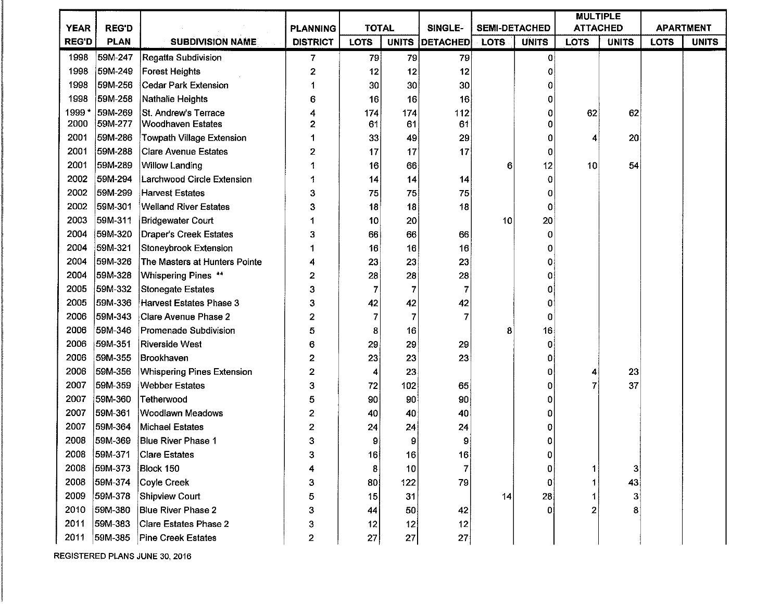|              |              |                                   |                 |              |                 |          |                      |              | <b>MULTIPLE</b> |              |             |                  |
|--------------|--------------|-----------------------------------|-----------------|--------------|-----------------|----------|----------------------|--------------|-----------------|--------------|-------------|------------------|
| <b>YEAR</b>  | <b>REG'D</b> |                                   | <b>PLANNING</b> | <b>TOTAL</b> |                 | SINGLE-  | <b>SEMI-DETACHED</b> |              | <b>ATTACHED</b> |              |             | <b>APARTMENT</b> |
| <b>REG'D</b> | <b>PLAN</b>  | <b>SUBDIVISION NAME</b>           | <b>DISTRICT</b> | <b>LOTS</b>  | <b>UNITS</b>    | DETACHED | LOTS.                | <b>UNITS</b> | <b>LOTS</b>     | <b>UNITS</b> | <b>LOTS</b> | <b>UNITS</b>     |
| 1998         | 59M-247      | Regatta Subdivision               | 7               | 79           | 79              | 79       |                      | 0            |                 |              |             |                  |
| 1998         | 59M-249      | <b>Forest Heights</b>             | 2               | 12           | 12              | 12       |                      | 0            |                 |              |             |                  |
| 1998         | 59M-256      | Cedar Park Extension              | 1               | 30           | 30 <sub>2</sub> | 30       |                      | 0            |                 |              |             |                  |
| 1998         | 59M-258      | Nathalie Heights                  | 6               | 16           | 16              | 16       |                      | 0            |                 |              |             |                  |
| 1999*        | 59M-269      | St. Andrew's Terrace              | 4               | 174          | 174             | 112      |                      | 0            | 62              | 62           |             |                  |
| 2000         | 59M-277      | <b>Woodhaven Estates</b>          | 2               | 61           | 61              | 61       |                      | 0            |                 |              |             |                  |
| 2001         | 59M-286      | <b>Towpath Village Extension</b>  |                 | 33           | 49              | 29       |                      | 0            | 4               | 20           |             |                  |
| 2001         | 59M-288      | <b>Clare Avenue Estates</b>       | 2               | 17           | 17              | 17       |                      | 0            |                 |              |             |                  |
| 2001         | 59M-289      | <b>Willow Landing</b>             |                 | 16           | 66              |          | 6                    | 12           | 10              | 54           |             |                  |
| 2002         | 59M-294      | Larchwood Circle Extension        |                 | 14           | 14              | 14       |                      | 0            |                 |              |             |                  |
| 2002         | 59M-299      | <b>Harvest Estates</b>            | 3               | 75           | 75              | 75       |                      | 0            |                 |              |             |                  |
| 2002         | 59M-301      | <b>Welland River Estates</b>      | 3               | 18           | 18              | 18       |                      | 0            |                 |              |             |                  |
| 2003         | 59M-311      | <b>Bridgewater Court</b>          |                 | 10           | 20              |          | 10                   | 20           |                 |              |             |                  |
| 2004         | 59M-320      | Draper's Creek Estates            | 3               | 66           | 66              | 66       |                      | 0            |                 |              |             |                  |
| 2004         | 59M-321      | <b>Stoneybrook Extension</b>      |                 | 16           | 16              | 16       |                      | 0            |                 |              |             |                  |
| 2004         | 59M-326      | The Masters at Hunters Pointe     | 4               | 23           | 23              | 23       |                      | 0            |                 |              |             |                  |
| 2004         | 59M-328      | Whispering Pines **               | 2               | 28           | 28              | 28       |                      | 0            |                 |              |             |                  |
| 2005         | 59M-332      | Stonegate Estates                 | 3               | 7            |                 |          |                      | 0            |                 |              |             |                  |
| 2005         | 59M-336      | Harvest Estates Phase 3           | 3               | 42           | 42              | 42       |                      | 0            |                 |              |             |                  |
| 2006         | 59M-343      | Clare Avenue Phase 2              | 2               | 7            |                 |          |                      | 0            |                 |              |             |                  |
| 2006         | 59M-346      | Promenade Subdivision             | 5               | 8            | 16              |          | 8                    | 16           |                 |              |             |                  |
| 2006         | 59M-351      | Riverside West                    | 6               | 29           | 29              | 29       |                      | 0            |                 |              |             |                  |
| 2006         | 59M-355      | Brookhaven                        | 2               | 23           | 23              | 23       |                      | 0            |                 |              |             |                  |
| 2006         | 59M-356      | <b>Whispering Pines Extension</b> | 2               | 4            | 23              |          |                      | 0            |                 | 23           |             |                  |
| 2007         | 59M-359      | <b>Webber Estates</b>             | 3               | 72           | 102             | 65       |                      | O            |                 | 37           |             |                  |
| 2007         | 59M-360      | Tetherwood                        | 5               | 90           | 90              | 90       |                      | Ω            |                 |              |             |                  |
| 2007         | 59M-361      | Woodlawn Meadows                  | 2               | 40           | 40              | 40       |                      | 0            |                 |              |             |                  |
| 2007         | 59M-364      | Michael Estates                   | 2               | 24           | 24              | 24       |                      | Ω            |                 |              |             |                  |
| 2008         | 59M-369      | <b>Blue River Phase 1</b>         | 3               | 9            | 9               | 9        |                      |              |                 |              |             |                  |
| 2008         | 59M-371      | <b>Clare Estates</b>              |                 | 16           | 16              | 16       |                      |              |                 |              |             |                  |
| 2008         | 59M-373      | Block 150                         |                 | 8            | 10              | 7        |                      | 0            |                 | 3            |             |                  |
| 2008         | 59M-374      | Coyle Creek                       | 3               | 80           | 122             | 79       |                      |              |                 | 43           |             |                  |
| 2009         | 59M-378      | Shipview Court                    | 5               | 15           | 31              |          | 14                   | 28           |                 | 3            |             |                  |
| 2010         | 59M-380      | Blue River Phase 2                | 3               | 44           | 50              | 42       |                      |              |                 | 8            |             |                  |
| 2011         | 59M-383      | Clare Estates Phase 2             | 3               | 12           | 12              | 12       |                      |              |                 |              |             |                  |
| 2011         | 59M-385      | <b>Pine Creek Estates</b>         | 2               | 27           | 27              | 27       |                      |              |                 |              |             |                  |

REGISTERED PLANS JUNE 30, 2016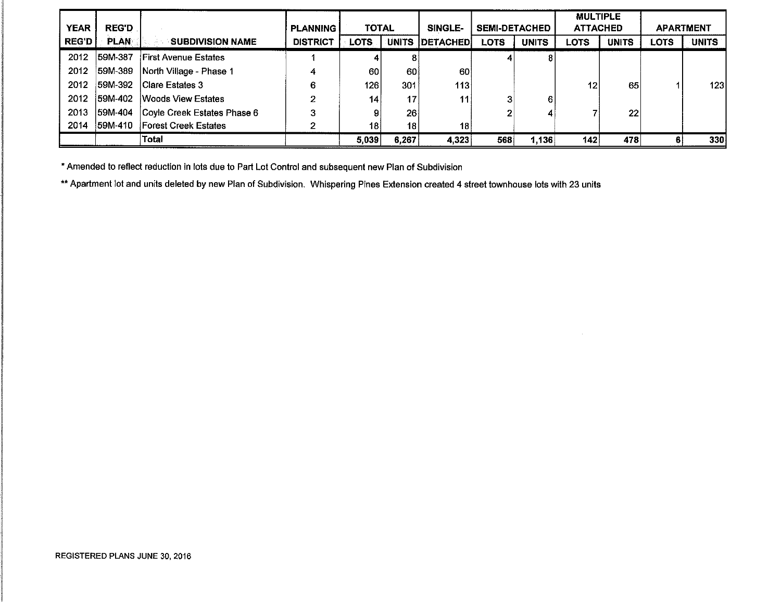|              |              |                             |                 |                  |              |                 |                      |              | <b>MULTIPLE</b> |              |      |                  |
|--------------|--------------|-----------------------------|-----------------|------------------|--------------|-----------------|----------------------|--------------|-----------------|--------------|------|------------------|
| <b>YEAR</b>  | <b>REG'D</b> |                             | <b>PLANNING</b> | TOTAL            |              | SINGLE-         | <b>SEMI-DETACHED</b> |              | <b>ATTACHED</b> |              |      | <b>APARTMENT</b> |
| <b>REG'D</b> | <b>PLAN</b>  | <b>SUBDIVISION NAME</b>     | <b>DISTRICT</b> | <b>LOTS</b>      | <b>UNITS</b> | <b>DETACHED</b> | <b>LOTS</b>          | <b>UNITS</b> | <b>LOTS</b>     | <b>UNITS</b> | LOTS | <b>UNITS</b>     |
| 2012         | 59M-387      | <b>First Avenue Estates</b> |                 |                  |              |                 |                      |              |                 |              |      |                  |
| 2012         | 59M-389      | North Village - Phase 1     | 4               | 60               | 60           | 60              |                      |              |                 |              |      |                  |
| 2012         | 59M-392      | Clare Estates 3             | 6               | 126 <sub>1</sub> | 301          | 113             |                      |              | 12              | 65           |      | 123 l            |
| 2012         | 159M-402     | <b>Woods View Estates</b>   | 2               | 14               | 17           | 11              |                      | 6.           |                 |              |      |                  |
| 2013         | 159M-404     | Coyle Creek Estates Phase 6 | 3               |                  | 26           |                 |                      |              |                 | 22           |      |                  |
| 2014         | 59M-410      | <b>Forest Creek Estates</b> | 2               | 18               | 18           | 18              |                      |              |                 |              |      |                  |
|              |              | Total                       |                 | 5,039            | 6,267        | 4,323           | 568                  | 1,136        | 142             | 478          |      | 330              |

• Amended to reflect reduction in lots due to Part Lot Control and subsequent new Plan of Subdivision

•• Apartment lot and units deleted by new Plan of Subdivision. Whispering Pines Extension created 4 street townhouse lots with 23 units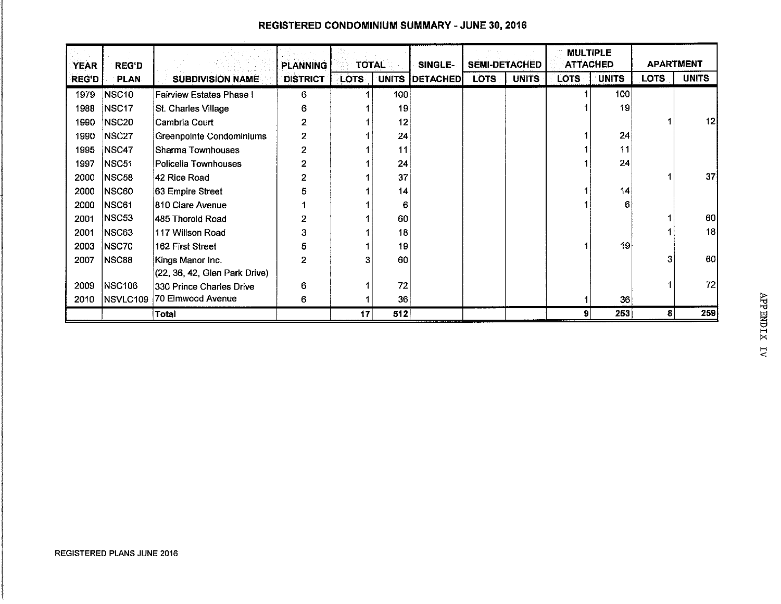|              |               |                               |                 |              |              |          |                      |              | <b>MULTIPLE</b> |              |                  |              |
|--------------|---------------|-------------------------------|-----------------|--------------|--------------|----------|----------------------|--------------|-----------------|--------------|------------------|--------------|
| <b>YEAR</b>  | <b>REG'D</b>  |                               | <b>PLANNING</b> | <b>TOTAL</b> |              | SINGLE-  | <b>SEMI-DETACHED</b> |              | <b>ATTACHED</b> |              | <b>APARTMENT</b> |              |
| <b>REG'D</b> | <b>PLAN</b>   | <b>SUBDIVISION NAME</b>       | <b>DISTRICT</b> | <b>LOTS</b>  | <b>UNITS</b> | DETACHED | LOTS:                | <b>UNITS</b> | <b>LOTS</b>     | <b>UNITS</b> | LOTS.            | <b>UNITS</b> |
| 1979         | NSC10         | Fairview Estates Phase I      | 6               |              | 100          |          |                      |              |                 | 100          |                  |              |
| 1988         | NSC17         | St. Charles Village           | 6               |              | 19           |          |                      |              |                 | 19           |                  |              |
| 1990         | <b>NSC20</b>  | Cambria Court                 | 2               |              | 12           |          |                      |              |                 |              |                  | 12           |
| 1990         | <b>NSC27</b>  | Greenpointe Condominiums      | 2               |              | 24           |          |                      |              |                 | 24           |                  |              |
| 1995         | NSC47         | Sharma Townhouses             | $\overline{2}$  |              | 11           |          |                      |              |                 | 11           |                  |              |
| 1997         | NSC51         | Policella Townhouses          | 2               |              | 24           |          |                      |              |                 | 24           |                  |              |
| 2000         | NSC58         | 42 Rice Road                  | 2               |              | 37           |          |                      |              |                 |              |                  | 37           |
| 2000         | NSC60         | 63 Empire Street              | 5               |              | 14           |          |                      |              |                 | 14           |                  |              |
| 2000         | NSC61         | 810 Clare Avenue              |                 |              | 6            |          |                      |              |                 | 6            |                  |              |
| 2001         | NSC53         | 1485 Thorold Road             | 2               |              | 60           |          |                      |              |                 |              |                  | 60           |
| 2001         | NSC63         | 117 Willson Road              | 3               |              | 18           |          |                      |              |                 |              |                  | 18           |
| 2003         | NSC70         | 162 First Street              | 5               |              | 19           |          |                      |              |                 | 19           |                  |              |
| 2007         | <b>NSC88</b>  | Kings Manor Inc.              | 2               | з            | 60           |          |                      |              |                 |              | 3                | 60           |
|              |               | (22, 36, 42, Glen Park Drive) |                 |              |              |          |                      |              |                 |              |                  |              |
| 2009         | <b>NSC106</b> | 330 Prince Charles Drive      | 6               |              | 72           |          |                      |              |                 |              |                  | 72           |
| 2010         | NSVLC109      | 70 Elmwood Avenue             | 6               |              | 36           |          |                      |              |                 | 36           |                  |              |
|              |               | Total                         |                 | 17           | 512          |          |                      |              | 9               | 253          | 8                | 259          |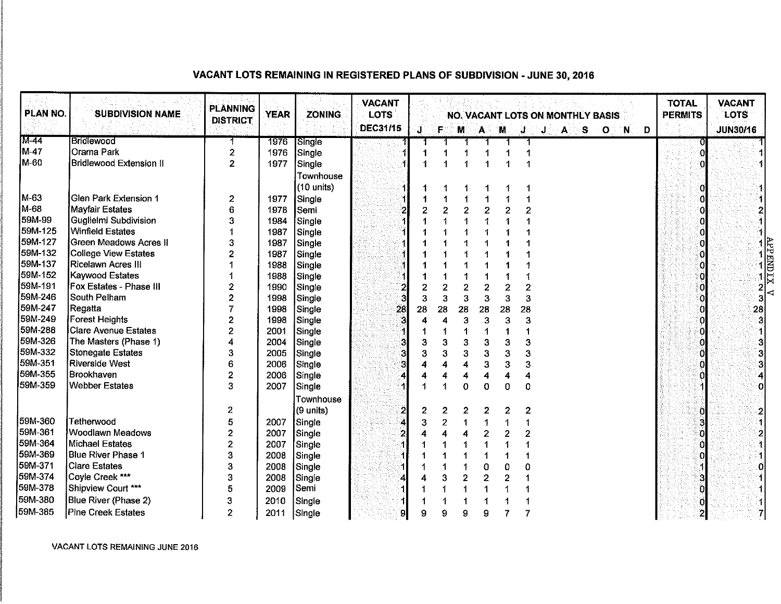## **VACANT LOTS REMAINING IN REGISTERED PLANS OF SUBDIVISION - JUNE 30, 2016**

| PLAN NO. | <b>SUBDIVISION NAME</b>     | <b>PLANNING</b><br><b>DISTRICT</b> | <b>YEAR</b> | <b>ZONING</b>        | <b>VACANT</b><br><b>LOTS</b><br><b>DEC31/15</b> | ្សា | F.             | M  |                | A M            |                         | J              | J | 'A | -S | <b>NO. VACANT LOTS ON MONTHLY BASIS</b><br>ு⊙ | - N | $\blacksquare$ | <b>TOTAL</b><br><b>PERMITS</b> | <b>VACANT</b><br>LOTS<br><b>JUN30/16</b>                                            |  |
|----------|-----------------------------|------------------------------------|-------------|----------------------|-------------------------------------------------|-----|----------------|----|----------------|----------------|-------------------------|----------------|---|----|----|-----------------------------------------------|-----|----------------|--------------------------------|-------------------------------------------------------------------------------------|--|
| M-44     | Bridlewood                  |                                    | 1976        | Single               |                                                 |     |                |    |                |                |                         |                |   |    |    |                                               |     |                |                                |                                                                                     |  |
| M-47     | Orama Park                  | $\overline{2}$                     | 1976        | Single               |                                                 |     |                |    |                |                |                         |                |   |    |    |                                               |     |                |                                |                                                                                     |  |
| M-60     | Bridlewood Extension II     | $\overline{2}$                     | 1977        | Single               |                                                 |     |                |    |                |                |                         | 4              |   |    |    |                                               |     |                |                                |                                                                                     |  |
|          |                             |                                    |             | Townhouse            |                                                 |     |                |    |                |                |                         |                |   |    |    |                                               |     |                |                                |                                                                                     |  |
|          |                             |                                    |             | $(10 \text{ units})$ |                                                 |     |                |    |                |                |                         |                |   |    |    |                                               |     |                |                                |                                                                                     |  |
| M-63     | Glen Park Extension 1       | $\boldsymbol{2}$                   | 1977        | Single               |                                                 |     |                |    |                |                |                         |                |   |    |    |                                               |     |                |                                |                                                                                     |  |
| M-68     | Mayfair Estates             | 6                                  | 1978        | Semi                 |                                                 |     | $\overline{2}$ |    | $\overline{c}$ | $\overline{2}$ | 2                       | $\overline{2}$ |   |    |    |                                               |     |                |                                |                                                                                     |  |
| 59M-99   | Guglielmi Subdivision       | 3                                  | 1984        | Single               |                                                 |     |                |    |                |                |                         |                |   |    |    |                                               |     |                |                                |                                                                                     |  |
| 59M-125  | Winfield Estates            |                                    | 1987        | Single               |                                                 |     |                |    |                |                |                         |                |   |    |    |                                               |     |                |                                |                                                                                     |  |
| 59M-127  | Green Meadows Acres II      | 3                                  | 1987        | Single               |                                                 |     |                |    |                |                |                         |                |   |    |    |                                               |     |                |                                |                                                                                     |  |
| 59M-132  | College View Estates        | 2                                  | 1987        | Single               |                                                 |     |                |    |                |                |                         |                |   |    |    |                                               |     |                |                                | $\frac{1}{2}$ $\frac{1}{2}$ $\frac{1}{2}$ $\frac{1}{2}$ $\frac{1}{2}$ $\frac{1}{2}$ |  |
| 59M-137  | Ricelawn Acres III          |                                    | 1988        | Single               |                                                 |     |                |    |                |                |                         |                |   |    |    |                                               |     |                |                                |                                                                                     |  |
| 59M-152  | Kaywood Estates             |                                    | 1988        | Single               |                                                 |     |                |    |                |                |                         |                |   |    |    |                                               |     |                |                                |                                                                                     |  |
| 59M-191  | Fox Estates - Phase III     | 2                                  | 1990        | Single               |                                                 |     | 2              |    | 2              | 2              | $\mathbf 2$             | $\overline{2}$ |   |    |    |                                               |     |                |                                |                                                                                     |  |
| 59M-246  | South Pelham                | 2                                  | 1998        | Single               |                                                 | 3   | 3              |    | 3              | 3              | 3                       | 3              |   |    |    |                                               |     |                |                                |                                                                                     |  |
| 59M-247  | Regatta                     |                                    | 1998        | Single               | 28                                              | 28  | 28             | 28 |                | 28             | 28                      | 28             |   |    |    |                                               |     |                |                                | 28                                                                                  |  |
| 59M-249  | <b>Forest Heights</b>       | $\mathbf{2}$                       | 1998        | Single               |                                                 |     |                |    | 3              | 3              | 3                       | 3              |   |    |    |                                               |     |                |                                |                                                                                     |  |
| 59M-288  | <b>Clare Avenue Estates</b> | $\boldsymbol{2}$                   | 2001        | Single               |                                                 |     |                |    |                |                | 1                       | 1              |   |    |    |                                               |     |                |                                |                                                                                     |  |
| 59M-326  | The Masters (Phase 1)       | 4                                  | 2004        | Single               |                                                 | 3   | 3              |    | 3              | 3              | 3                       | 3              |   |    |    |                                               |     |                |                                | 3                                                                                   |  |
| 59M-332  | Stonegate Estates           | 3                                  | 2005        | Single               |                                                 | 3   | 3              |    | 3              | 3              | 3                       | 3              |   |    |    |                                               |     |                |                                | 3                                                                                   |  |
| 59M-351  | Riverside West              | 6                                  | 2006        | Single               |                                                 |     |                |    |                | 3              | 3                       | 3              |   |    |    |                                               |     |                |                                |                                                                                     |  |
| 59M-355  | Brookhaven                  | $\mathbf 2$                        | 2006        | Single               |                                                 |     |                |    |                | 4              | 4                       | 4              |   |    |    |                                               |     |                |                                |                                                                                     |  |
| 59M-359  | Webber Estates              | 3                                  | 2007        | Single               |                                                 |     |                |    | $\Omega$       | 0              | 0                       | $\mathbf 0$    |   |    |    |                                               |     |                |                                |                                                                                     |  |
|          |                             |                                    |             | Townhouse            |                                                 |     |                |    |                |                |                         |                |   |    |    |                                               |     |                |                                |                                                                                     |  |
|          |                             | 2                                  |             | (9 units)            |                                                 | 2   | 2              |    | 2              | $\mathbf{2}$   | 2                       | $\mathbf{2}$   |   |    |    |                                               |     |                |                                |                                                                                     |  |
| 59M-360  | Tetherwood                  | 5                                  | 2007        | Single               |                                                 | 3   | 2              |    |                |                |                         |                |   |    |    |                                               |     |                |                                |                                                                                     |  |
| 59M-361  | <b>Woodlawn Meadows</b>     | $\boldsymbol{2}$                   | 2007        | Single               |                                                 |     |                |    |                | $\overline{c}$ | 2                       | 2              |   |    |    |                                               |     |                |                                |                                                                                     |  |
| 59M-364  | <b>Michael Estates</b>      | $\mathbf{2}$                       | 2007        | Single               |                                                 |     |                |    |                |                |                         |                |   |    |    |                                               |     |                |                                |                                                                                     |  |
| 59M-369  | Blue River Phase 1          | 3                                  | 2008        | Single               |                                                 |     |                |    |                |                |                         |                |   |    |    |                                               |     |                |                                |                                                                                     |  |
| 59M-371  | <b>Clare Estates</b>        | 3                                  | 2008        | Single               |                                                 |     |                |    |                | 0              | 0                       | ٥              |   |    |    |                                               |     |                |                                |                                                                                     |  |
| 59M-374  | Coyle Creek ***             | 3                                  | 2008        | Single               |                                                 |     | 3              |    | 2              | $\overline{c}$ | $\overline{\mathbf{c}}$ |                |   |    |    |                                               |     |                |                                |                                                                                     |  |
| 59M-378  | Shipview Court ***          | 5                                  | 2009        | Semi                 |                                                 |     |                |    |                |                |                         |                |   |    |    |                                               |     |                |                                |                                                                                     |  |
| 59M-380  | Blue River (Phase 2)        | 3                                  | 2010        | Single               |                                                 |     |                |    |                |                |                         |                |   |    |    |                                               |     |                |                                |                                                                                     |  |
| 59M-385  | Pine Creek Estates          | $\mathbf{2}$                       | 2011        | Single               | 91                                              | 9   | 9              | ρ  |                | 9              |                         |                |   |    |    |                                               |     |                | $\overline{2}$                 | 7                                                                                   |  |

VACANT LOTS REMAINING JUNE 2016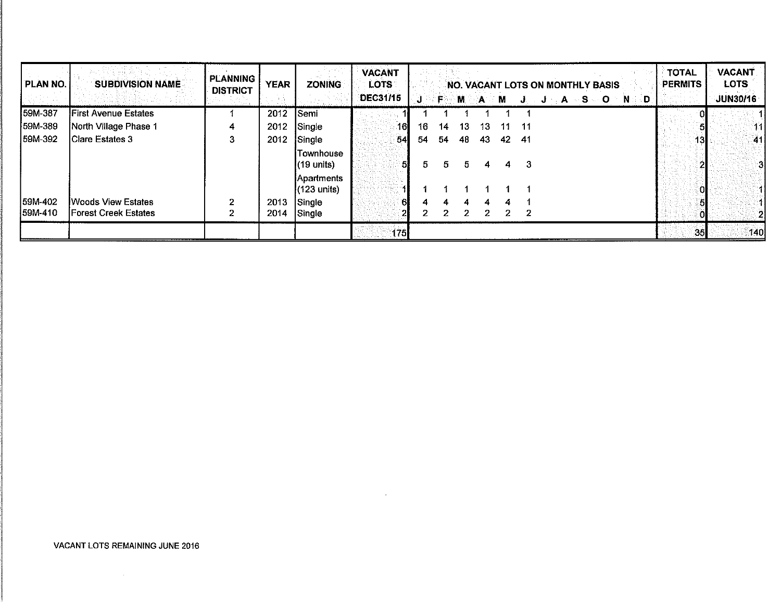| PLAN NO. | <b>SUBDIVISION NAME</b>      | <b>PLANNING</b><br><b>DISTRICT</b> | <b>YEAR</b> | <b>ZONING</b>                              | <b>VACANT</b><br>LOTS |    |      |             |              |              | NO. VACANT LOTS ON MONTHLY BASIS |  |  |                                     | <b>TOTAL</b><br><b>PERMITS</b> |     | <b>VACANT</b><br><b>LOTS</b> |               |
|----------|------------------------------|------------------------------------|-------------|--------------------------------------------|-----------------------|----|------|-------------|--------------|--------------|----------------------------------|--|--|-------------------------------------|--------------------------------|-----|------------------------------|---------------|
|          |                              |                                    |             |                                            | <b>DEC31/15</b>       | J  | le⊙- | M           | $\mathbf{A}$ | M            | J.                               |  |  | $J = A \otimes S = O \otimes N = D$ |                                |     | <b>JUN30/16</b>              |               |
| 59M-387  | <b>First Avenue Estates</b>  |                                    | 2012        | Semi                                       |                       |    |      |             |              |              |                                  |  |  |                                     |                                |     |                              |               |
| 59M-389  | North Village Phase 1        | 4                                  | 2012        | Single                                     | 16 <sub>l</sub>       | 16 | 14   | 13          | 13           | 11           | -11                              |  |  |                                     |                                |     |                              | -111          |
| 59M-392  | <b>IClare Estates 3</b>      |                                    | 2012        | Single                                     | 54                    | 54 | 54   | 48          | 43           | 42           | - 41                             |  |  |                                     |                                | 13I |                              | -41           |
|          |                              |                                    |             | lTownhouse<br>(19 units)                   | 51                    | 5  | 5.   | 5.          | 4            | 4            | 3                                |  |  |                                     |                                | 21  |                              | 3             |
|          |                              |                                    |             | <b>Apartments</b><br>$(123 \text{ units})$ |                       |    |      |             |              |              |                                  |  |  |                                     |                                | Ò١  |                              |               |
| 159M-402 | <b>IWoods View Estates</b>   | 2                                  | 2013        | Single                                     | Al                    |    |      |             |              |              |                                  |  |  |                                     |                                |     |                              |               |
| 159M-410 | <b>IForest Creek Estates</b> |                                    | 2014        | Single                                     |                       |    | 2.   | $2^{\circ}$ | 2            | $\mathbf{2}$ | 2                                |  |  |                                     |                                |     |                              | $\frac{1}{2}$ |
|          |                              |                                    |             |                                            | 175                   |    |      |             |              |              |                                  |  |  |                                     |                                | 35  | 140                          |               |

 $\mathcal{L}^{\mathcal{L}}(\mathcal{L}^{\mathcal{L}})$  and  $\mathcal{L}^{\mathcal{L}}(\mathcal{L}^{\mathcal{L}})$  and  $\mathcal{L}^{\mathcal{L}}(\mathcal{L}^{\mathcal{L}})$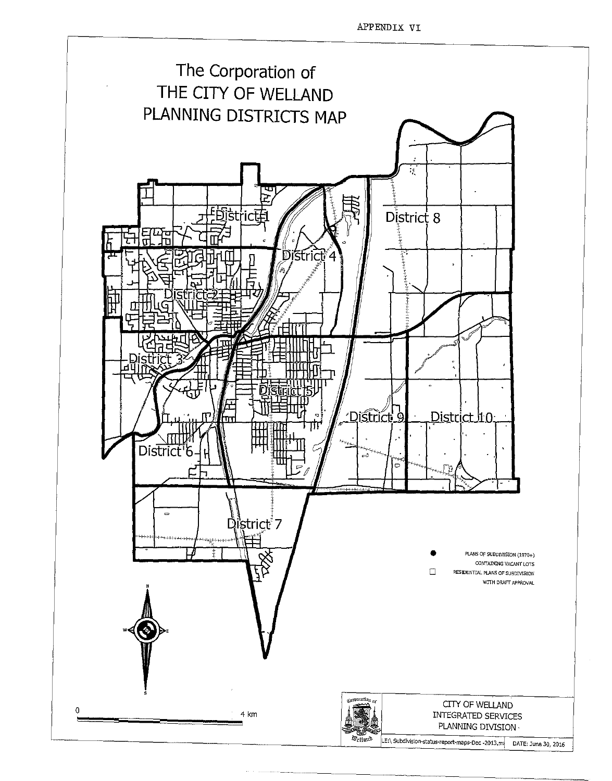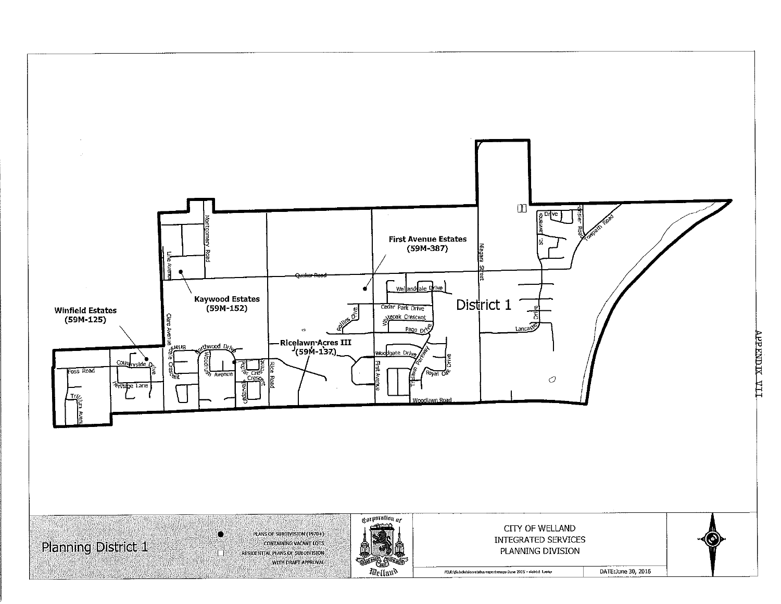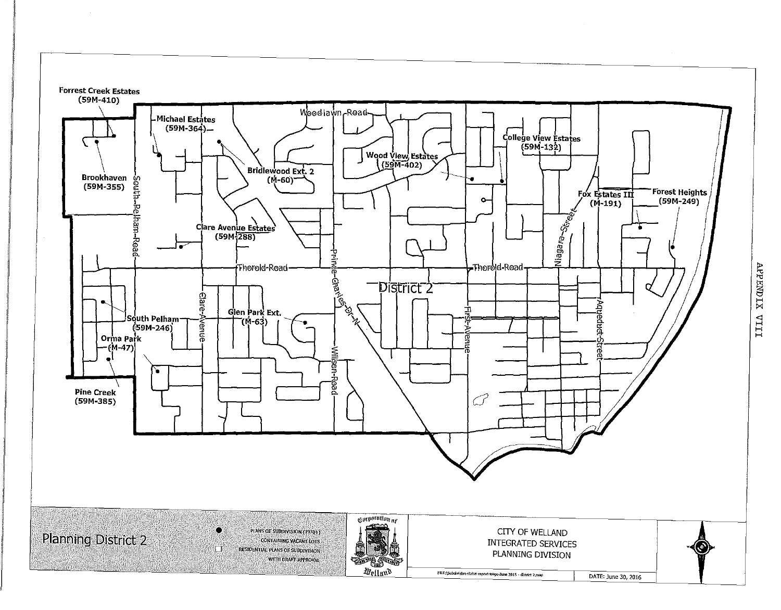

TIIA XIONEAV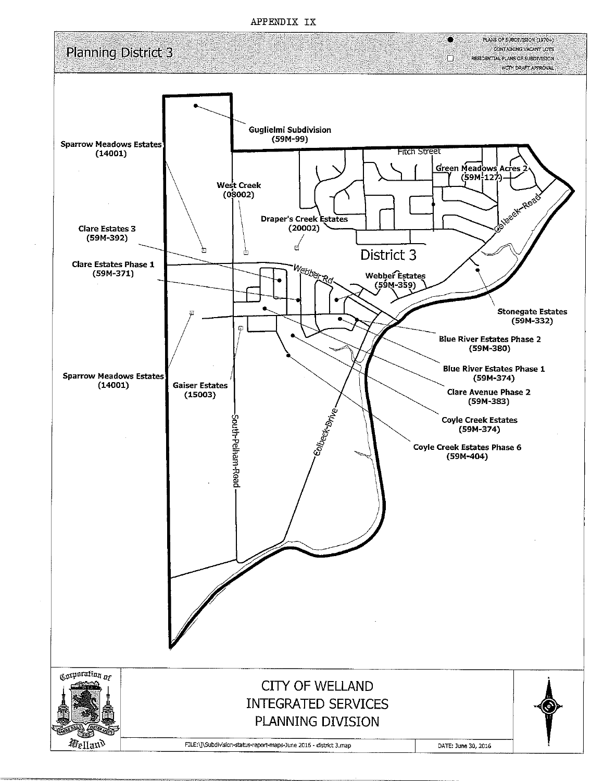APPENDIX IX

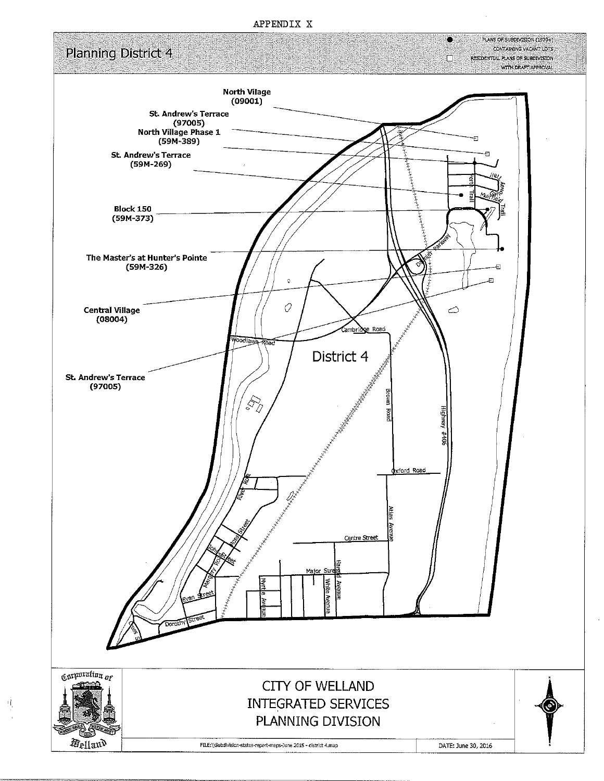#### APPENDIX X



 $\mathcal{W}_i$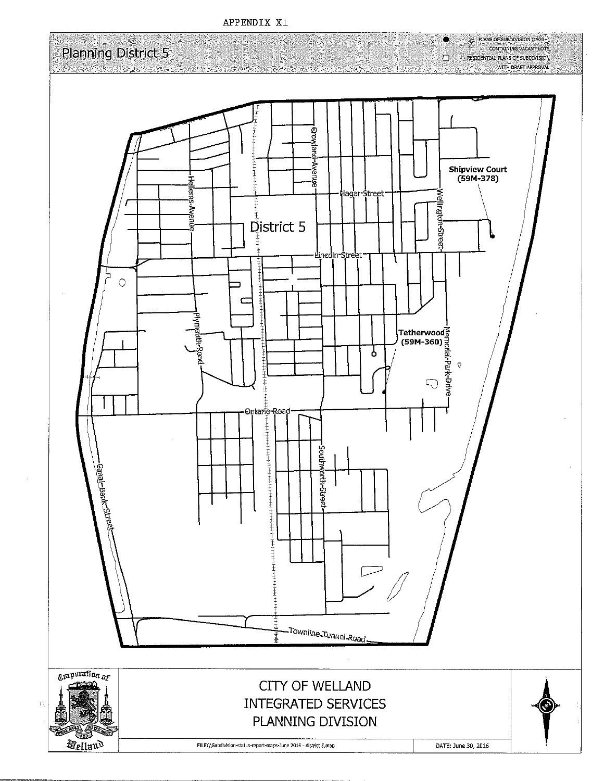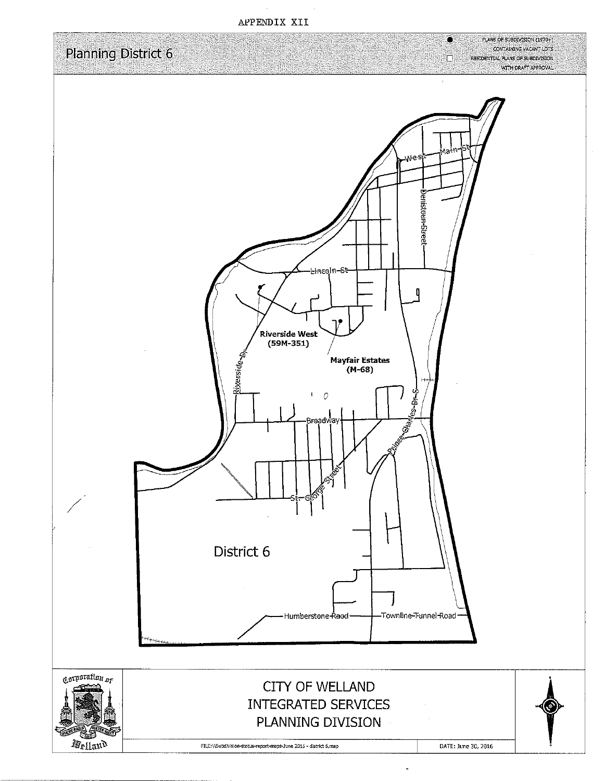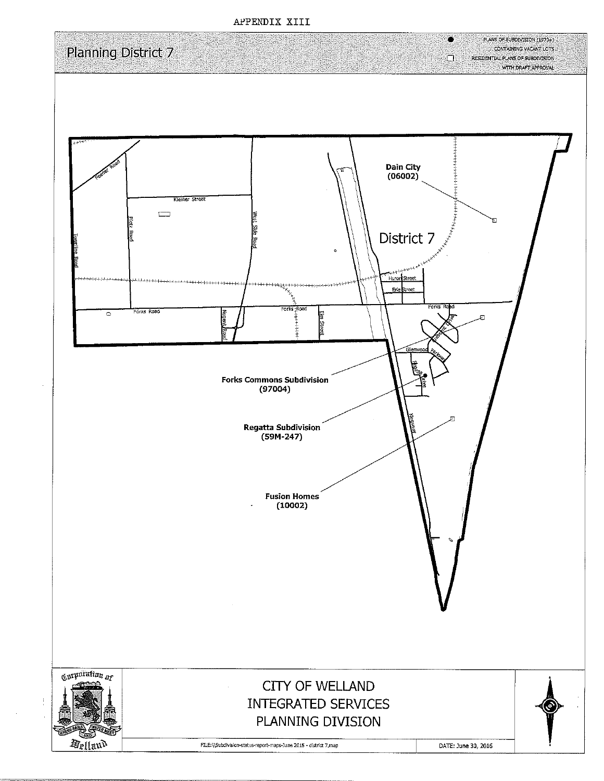

APPENDIX XIII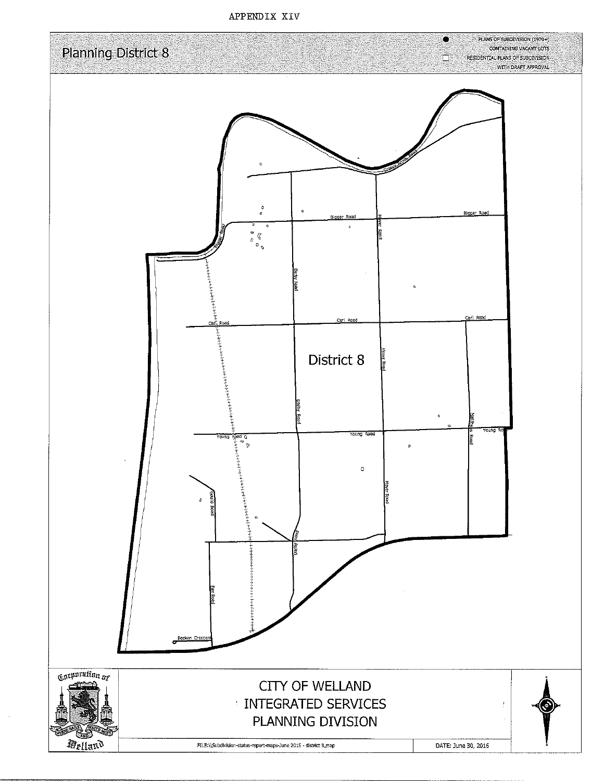APPENDIX XIV

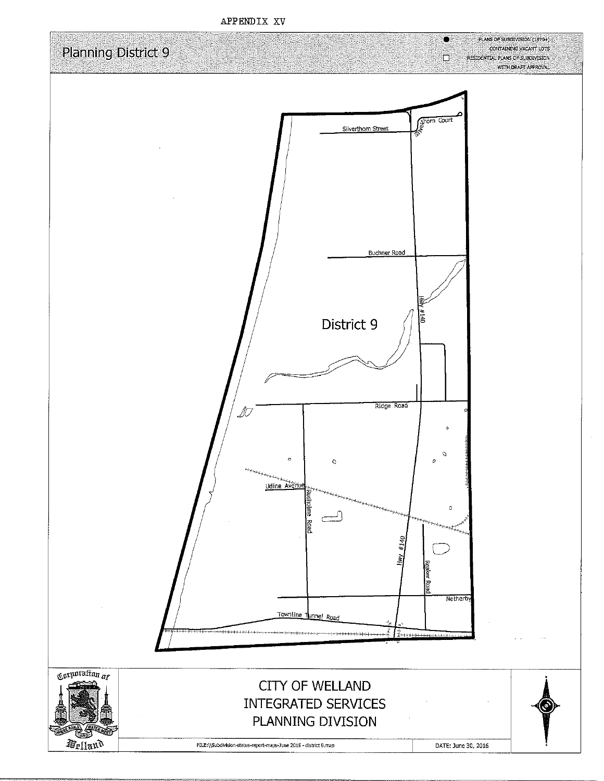

APPENDIX XV